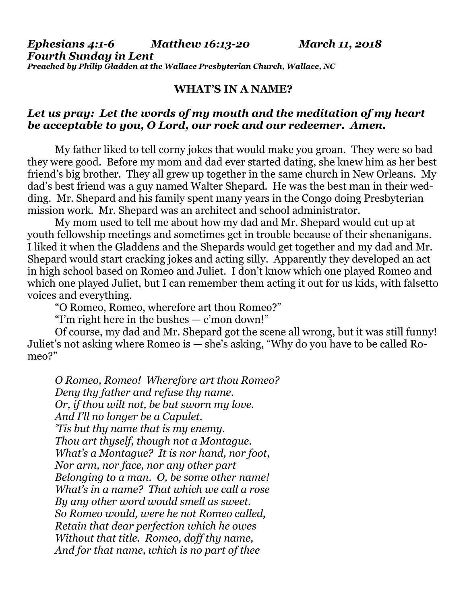*Ephesians 4:1-6 Matthew 16:13-20 March 11, 2018 Fourth Sunday in Lent Preached by Philip Gladden at the Wallace Presbyterian Church, Wallace, NC*

## **WHAT'S IN A NAME?**

## *Let us pray: Let the words of my mouth and the meditation of my heart be acceptable to you, O Lord, our rock and our redeemer. Amen.*

My father liked to tell corny jokes that would make you groan. They were so bad they were good. Before my mom and dad ever started dating, she knew him as her best friend's big brother. They all grew up together in the same church in New Orleans. My dad's best friend was a guy named Walter Shepard. He was the best man in their wedding. Mr. Shepard and his family spent many years in the Congo doing Presbyterian mission work. Mr. Shepard was an architect and school administrator.

My mom used to tell me about how my dad and Mr. Shepard would cut up at youth fellowship meetings and sometimes get in trouble because of their shenanigans. I liked it when the Gladdens and the Shepards would get together and my dad and Mr. Shepard would start cracking jokes and acting silly. Apparently they developed an act in high school based on Romeo and Juliet. I don't know which one played Romeo and which one played Juliet, but I can remember them acting it out for us kids, with falsetto voices and everything.

"O Romeo, Romeo, wherefore art thou Romeo?"

"I'm right here in the bushes — c'mon down!"

Of course, my dad and Mr. Shepard got the scene all wrong, but it was still funny! Juliet's not asking where Romeo is — she's asking, "Why do you have to be called Romeo?"

*O Romeo, Romeo! Wherefore art thou Romeo? Deny thy father and refuse thy name. Or, if thou wilt not, be but sworn my love. And I'll no longer be a Capulet. 'Tis but thy name that is my enemy. Thou art thyself, though not a Montague. What's a Montague? It is nor hand, nor foot, Nor arm, nor face, nor any other part Belonging to a man. O, be some other name! What's in a name? That which we call a rose By any other word would smell as sweet. So Romeo would, were he not Romeo called, Retain that dear perfection which he owes Without that title. Romeo, doff thy name, And for that name, which is no part of thee*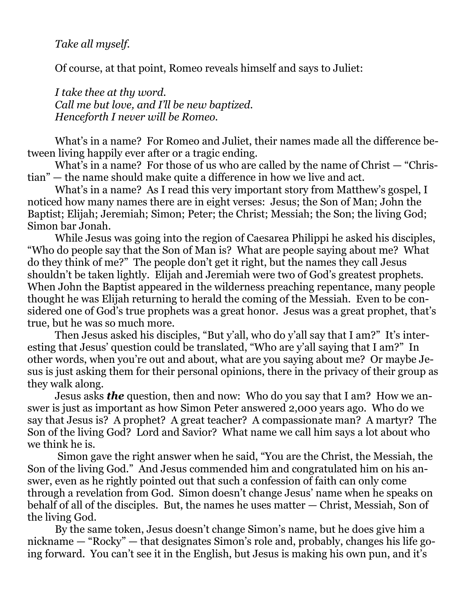*Take all myself.*

Of course, at that point, Romeo reveals himself and says to Juliet:

*I take thee at thy word. Call me but love, and I'll be new baptized. Henceforth I never will be Romeo.*

What's in a name? For Romeo and Juliet, their names made all the difference between living happily ever after or a tragic ending.

What's in a name? For those of us who are called by the name of Christ — "Christian" — the name should make quite a difference in how we live and act.

What's in a name? As I read this very important story from Matthew's gospel, I noticed how many names there are in eight verses: Jesus; the Son of Man; John the Baptist; Elijah; Jeremiah; Simon; Peter; the Christ; Messiah; the Son; the living God; Simon bar Jonah.

While Jesus was going into the region of Caesarea Philippi he asked his disciples, "Who do people say that the Son of Man is? What are people saying about me? What do they think of me?" The people don't get it right, but the names they call Jesus shouldn't be taken lightly. Elijah and Jeremiah were two of God's greatest prophets. When John the Baptist appeared in the wilderness preaching repentance, many people thought he was Elijah returning to herald the coming of the Messiah. Even to be considered one of God's true prophets was a great honor. Jesus was a great prophet, that's true, but he was so much more.

Then Jesus asked his disciples, "But y'all, who do y'all say that I am?" It's interesting that Jesus' question could be translated, "Who are y'all saying that I am?" In other words, when you're out and about, what are you saying about me? Or maybe Jesus is just asking them for their personal opinions, there in the privacy of their group as they walk along.

Jesus asks *the* question, then and now: Who do you say that I am? How we answer is just as important as how Simon Peter answered 2,000 years ago. Who do we say that Jesus is? A prophet? A great teacher? A compassionate man? A martyr? The Son of the living God? Lord and Savior? What name we call him says a lot about who we think he is.

Simon gave the right answer when he said, "You are the Christ, the Messiah, the Son of the living God." And Jesus commended him and congratulated him on his answer, even as he rightly pointed out that such a confession of faith can only come through a revelation from God. Simon doesn't change Jesus' name when he speaks on behalf of all of the disciples. But, the names he uses matter — Christ, Messiah, Son of the living God.

By the same token, Jesus doesn't change Simon's name, but he does give him a nickname — "Rocky" — that designates Simon's role and, probably, changes his life going forward. You can't see it in the English, but Jesus is making his own pun, and it's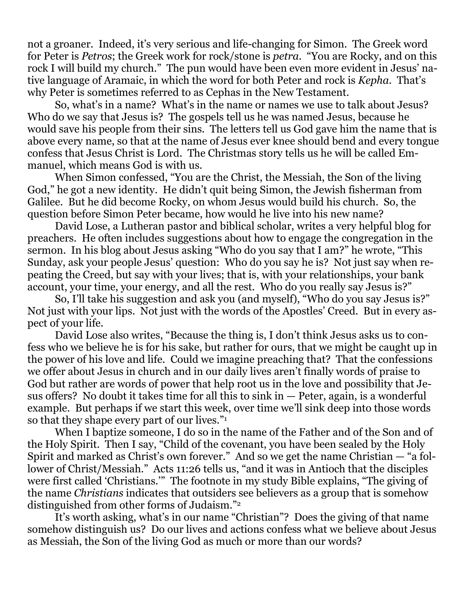not a groaner. Indeed, it's very serious and life-changing for Simon. The Greek word for Peter is *Petros*; the Greek work for rock/stone is *petra.* "You are Rocky, and on this rock I will build my church." The pun would have been even more evident in Jesus' native language of Aramaic, in which the word for both Peter and rock is *Kepha*. That's why Peter is sometimes referred to as Cephas in the New Testament.

So, what's in a name? What's in the name or names we use to talk about Jesus? Who do we say that Jesus is? The gospels tell us he was named Jesus, because he would save his people from their sins. The letters tell us God gave him the name that is above every name, so that at the name of Jesus ever knee should bend and every tongue confess that Jesus Christ is Lord. The Christmas story tells us he will be called Emmanuel, which means God is with us.

When Simon confessed, "You are the Christ, the Messiah, the Son of the living God," he got a new identity. He didn't quit being Simon, the Jewish fisherman from Galilee. But he did become Rocky, on whom Jesus would build his church. So, the question before Simon Peter became, how would he live into his new name?

David Lose, a Lutheran pastor and biblical scholar, writes a very helpful blog for preachers. He often includes suggestions about how to engage the congregation in the sermon. In his blog about Jesus asking "Who do you say that I am?" he wrote, "This Sunday, ask your people Jesus' question: Who do you say he is? Not just say when repeating the Creed, but say with your lives; that is, with your relationships, your bank account, your time, your energy, and all the rest. Who do you really say Jesus is?"

So, I'll take his suggestion and ask you (and myself), "Who do you say Jesus is?" Not just with your lips. Not just with the words of the Apostles' Creed. But in every aspect of your life.

David Lose also writes, "Because the thing is, I don't think Jesus asks us to confess who we believe he is for his sake, but rather for ours, that we might be caught up in the power of his love and life. Could we imagine preaching that? That the confessions we offer about Jesus in church and in our daily lives aren't finally words of praise to God but rather are words of power that help root us in the love and possibility that Jesus offers? No doubt it takes time for all this to sink in — Peter, again, is a wonderful example. But perhaps if we start this week, over time we'll sink deep into those words so that they shape every part of our lives."<sup>1</sup>

When I baptize someone, I do so in the name of the Father and of the Son and of the Holy Spirit. Then I say, "Child of the covenant, you have been sealed by the Holy Spirit and marked as Christ's own forever." And so we get the name Christian — "a follower of Christ/Messiah." Acts 11:26 tells us, "and it was in Antioch that the disciples were first called 'Christians.'" The footnote in my study Bible explains, "The giving of the name *Christians* indicates that outsiders see believers as a group that is somehow distinguished from other forms of Judaism."<sup>2</sup>

It's worth asking, what's in our name "Christian"? Does the giving of that name somehow distinguish us? Do our lives and actions confess what we believe about Jesus as Messiah, the Son of the living God as much or more than our words?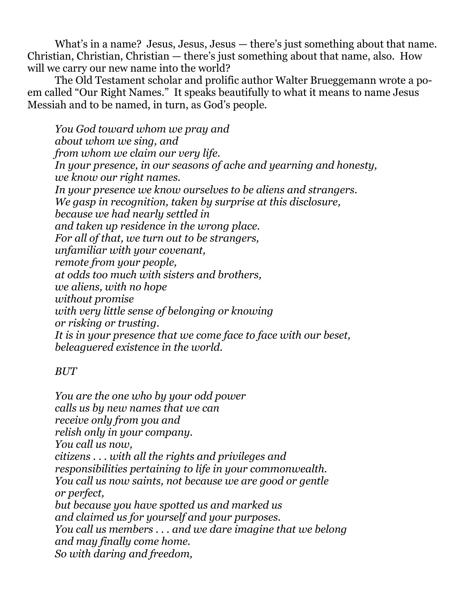What's in a name? Jesus, Jesus, Jesus — there's just something about that name. Christian, Christian, Christian — there's just something about that name, also. How will we carry our new name into the world?

The Old Testament scholar and prolific author Walter Brueggemann wrote a poem called "Our Right Names." It speaks beautifully to what it means to name Jesus Messiah and to be named, in turn, as God's people.

*You God toward whom we pray and about whom we sing, and from whom we claim our very life. In your presence, in our seasons of ache and yearning and honesty, we know our right names. In your presence we know ourselves to be aliens and strangers. We gasp in recognition, taken by surprise at this disclosure, because we had nearly settled in and taken up residence in the wrong place. For all of that, we turn out to be strangers, unfamiliar with your covenant, remote from your people, at odds too much with sisters and brothers, we aliens, with no hope without promise with very little sense of belonging or knowing or risking or trusting. It is in your presence that we come face to face with our beset, beleaguered existence in the world.*

## *BUT*

*You are the one who by your odd power calls us by new names that we can receive only from you and relish only in your company. You call us now, citizens . . . with all the rights and privileges and responsibilities pertaining to life in your commonwealth. You call us now saints, not because we are good or gentle or perfect, but because you have spotted us and marked us and claimed us for yourself and your purposes. You call us members . . . and we dare imagine that we belong and may finally come home. So with daring and freedom,*